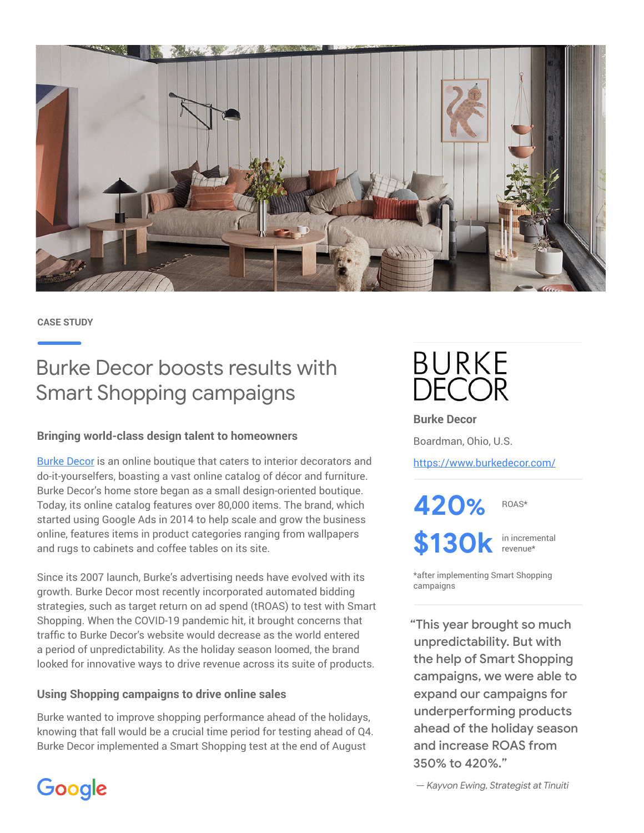

**CASE STUDY**

Google

## Burke Decor boosts results with Smart Shopping campaigns

## **Bringing world-class design talent to homeowners**

[Burke Decor](https://www.burkedecor.com/) is an online boutique that caters to interior decorators and do-it-yourselfers, boasting a vast online catalog of décor and furniture. Burke Decor's home store began as a small design-oriented boutique. Today, its online catalog features over 80,000 items. The brand, which started using Google Ads in 2014 to help scale and grow the business online, features items in product categories ranging from wallpapers and rugs to cabinets and coffee tables on its site.

Since its 2007 launch, Burke's advertising needs have evolved with its growth. Burke Decor most recently incorporated automated bidding strategies, such as target return on ad spend (tROAS) to test with Smart Shopping. When the COVID-19 pandemic hit, it brought concerns that traffic to Burke Decor's website would decrease as the world entered a period of unpredictability. As the holiday season loomed, the brand looked for innovative ways to drive revenue across its suite of products.

## **Using Shopping campaigns to drive online sales**

Burke wanted to improve shopping performance ahead of the holidays, knowing that fall would be a crucial time period for testing ahead of Q4. Burke Decor implemented a Smart Shopping test at the end of August

**BURKE DECOR** 

**Burke Decor**

Boardman, Ohio, U.S.

<https://www.burkedecor.com/>

**420%**

**\$130k**

in incremental revenue\*

ROAS\*

\*after implementing Smart Shopping campaigns

"This year brought so much unpredictability. But with the help of Smart Shopping campaigns, we were able to expand our campaigns for underperforming products ahead of the holiday season and increase ROAS from 350% to 420%."